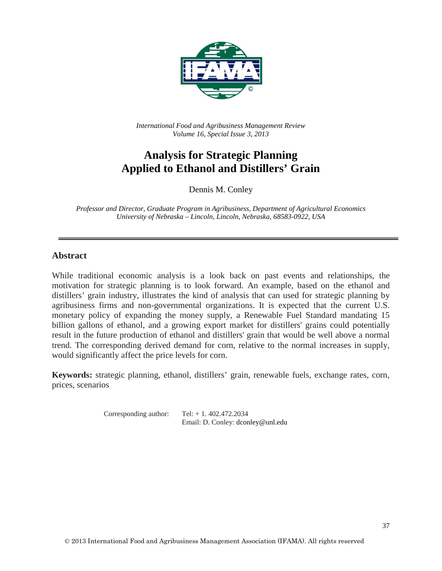

*International Food and Agribusiness Management Review Volume 16, Special Issue 3, 2013*

# **Analysis for Strategic Planning Applied to Ethanol and Distillers' Grain**

Dennis M. Conley

*Professor and Director, Graduate Program in Agribusiness, Department of Agricultural Economics University of Nebraska – Lincoln, Lincoln, Nebraska, 68583-0922, USA*

#### **Abstract**

While traditional economic analysis is a look back on past events and relationships, the motivation for strategic planning is to look forward. An example, based on the ethanol and distillers' grain industry, illustrates the kind of analysis that can used for strategic planning by agribusiness firms and non-governmental organizations. It is expected that the current U.S. monetary policy of expanding the money supply, a Renewable Fuel Standard mandating 15 billion gallons of ethanol, and a growing export market for distillers' grains could potentially result in the future production of ethanol and distillers' grain that would be well above a normal trend. The corresponding derived demand for corn, relative to the normal increases in supply, would significantly affect the price levels for corn.

**Keywords:** strategic planning, ethanol, distillers' grain, renewable fuels, exchange rates, corn, prices, scenarios

> Corresponding author:  $Tel: + 1.402.472.2034$ Email: D. Conley: dconley@unl.edu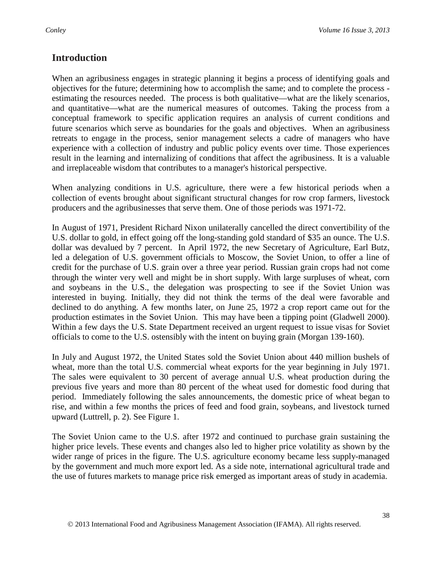# **Introduction**

When an agribusiness engages in strategic planning it begins a process of identifying goals and objectives for the future; determining how to accomplish the same; and to complete the process estimating the resources needed. The process is both qualitative—what are the likely scenarios, and quantitative—what are the numerical measures of outcomes. Taking the process from a conceptual framework to specific application requires an analysis of current conditions and future scenarios which serve as boundaries for the goals and objectives. When an agribusiness retreats to engage in the process, senior management selects a cadre of managers who have experience with a collection of industry and public policy events over time. Those experiences result in the learning and internalizing of conditions that affect the agribusiness. It is a valuable and irreplaceable wisdom that contributes to a manager's historical perspective.

When analyzing conditions in U.S. agriculture, there were a few historical periods when a collection of events brought about significant structural changes for row crop farmers, livestock producers and the agribusinesses that serve them. One of those periods was 1971-72.

In August of 1971, President Richard Nixon unilaterally cancelled the direct convertibility of the U.S. dollar to gold, in effect going off the long-standing gold standard of \$35 an ounce. The U.S. dollar was devalued by 7 percent. In April 1972, the new Secretary of Agriculture, Earl Butz, led a delegation of U.S. government officials to Moscow, the Soviet Union, to offer a line of credit for the purchase of U.S. grain over a three year period. Russian grain crops had not come through the winter very well and might be in short supply. With large surpluses of wheat, corn and soybeans in the U.S., the delegation was prospecting to see if the Soviet Union was interested in buying. Initially, they did not think the terms of the deal were favorable and declined to do anything. A few months later, on June 25, 1972 a crop report came out for the production estimates in the Soviet Union. This may have been a tipping point (Gladwell 2000). Within a few days the U.S. State Department received an urgent request to issue visas for Soviet officials to come to the U.S. ostensibly with the intent on buying grain (Morgan 139-160).

In July and August 1972, the United States sold the Soviet Union about 440 million bushels of wheat, more than the total U.S. commercial wheat exports for the year beginning in July 1971. The sales were equivalent to 30 percent of average annual U.S. wheat production during the previous five years and more than 80 percent of the wheat used for domestic food during that period. Immediately following the sales announcements, the domestic price of wheat began to rise, and within a few months the prices of feed and food grain, soybeans, and livestock turned upward (Luttrell, p. 2). See Figure 1.

The Soviet Union came to the U.S. after 1972 and continued to purchase grain sustaining the higher price levels. These events and changes also led to higher price volatility as shown by the wider range of prices in the figure. The U.S. agriculture economy became less supply-managed by the government and much more export led. As a side note, international agricultural trade and the use of futures markets to manage price risk emerged as important areas of study in academia.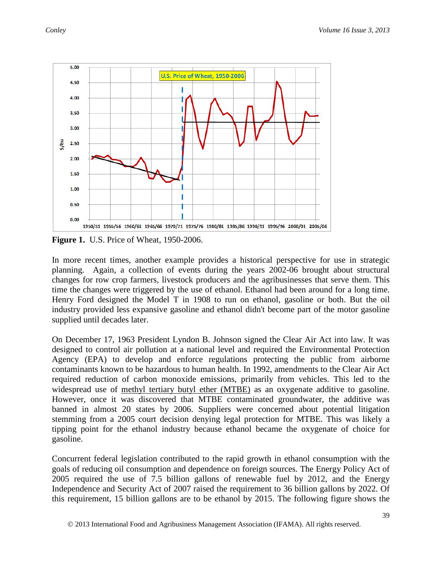

**Figure 1.** U.S. Price of Wheat, 1950-2006.

In more recent times, another example provides a historical perspective for use in strategic planning. Again, a collection of events during the years 2002-06 brought about structural changes for row crop farmers, livestock producers and the agribusinesses that serve them. This time the changes were triggered by the use of ethanol. Ethanol had been around for a long time. Henry Ford designed the Model T in 1908 to run on ethanol, gasoline or both. But the oil industry provided less expansive gasoline and ethanol didn't become part of the motor gasoline supplied until decades later.

On December 17, 1963 President Lyndon B. Johnson signed the Clear Air Act into law. It was designed to control air pollution at a national level and required the Environmental Protection Agency (EPA) to develop and enforce regulations protecting the public from airborne contaminants known to be hazardous to human health. In 1992, amendments to the Clear Air Act required reduction of carbon monoxide emissions, primarily from vehicles. This led to the widespread use of [methyl tertiary butyl ether \(MTBE\)](http://en.wikipedia.org/wiki/Methyl_tert-butyl_ether) as an oxygenate additive to gasoline. However, once it was discovered that MTBE contaminated groundwater, the additive was banned in almost 20 states by 2006. Suppliers were concerned about potential litigation stemming from a 2005 court decision denying legal protection for MTBE. This was likely a tipping point for the ethanol industry because ethanol became the oxygenate of choice for gasoline.

Concurrent federal legislation contributed to the rapid growth in ethanol consumption with the goals of reducing oil consumption and dependence on foreign sources. The Energy Policy Act of 2005 required the use of 7.5 billion gallons of renewable fuel by 2012, and the Energy Independence and Security Act of 2007 raised the requirement to 36 billion gallons by 2022. Of this requirement, 15 billion gallons are to be ethanol by 2015. The following figure shows the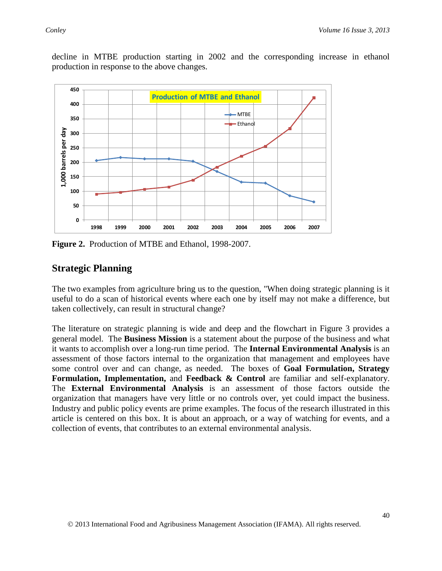decline in MTBE production starting in 2002 and the corresponding increase in ethanol production in response to the above changes.



**Figure 2.** Production of MTBE and Ethanol, 1998-2007.

# **Strategic Planning**

The two examples from agriculture bring us to the question, "When doing strategic planning is it useful to do a scan of historical events where each one by itself may not make a difference, but taken collectively, can result in structural change?

The literature on strategic planning is wide and deep and the flowchart in Figure 3 provides a general model. The **Business Mission** is a statement about the purpose of the business and what it wants to accomplish over a long-run time period. The **Internal Environmental Analysis** is an assessment of those factors internal to the organization that management and employees have some control over and can change, as needed. The boxes of **Goal Formulation, Strategy Formulation, Implementation,** and **Feedback & Control** are familiar and self-explanatory. The **External Environmental Analysis** is an assessment of those factors outside the organization that managers have very little or no controls over, yet could impact the business. Industry and public policy events are prime examples. The focus of the research illustrated in this article is centered on this box. It is about an approach, or a way of watching for events, and a collection of events, that contributes to an external environmental analysis.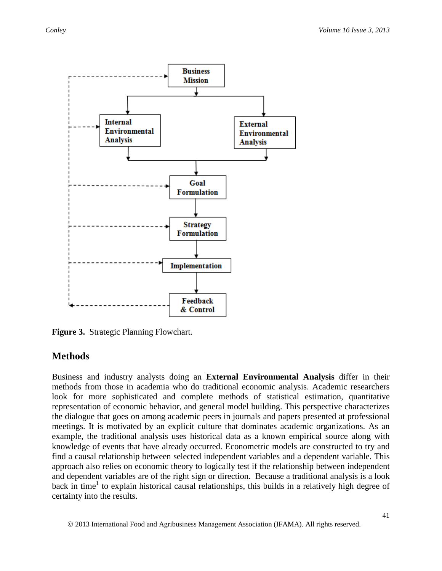

**Figure 3.** Strategic Planning Flowchart.

### **Methods**

Business and industry analysts doing an **External Environmental Analysis** differ in their methods from those in academia who do traditional economic analysis. Academic researchers look for more sophisticated and complete methods of statistical estimation, quantitative representation of economic behavior, and general model building. This perspective characterizes the dialogue that goes on among academic peers in journals and papers presented at professional meetings. It is motivated by an explicit culture that dominates academic organizations. As an example, the traditional analysis uses historical data as a known empirical source along with knowledge of events that have already occurred. Econometric models are constructed to try and find a causal relationship between selected independent variables and a dependent variable. This approach also relies on economic theory to logically test if the relationship between independent and dependent variables are of the right sign or direction. Because a traditional analysis is a look back in time<sup>1</sup> to explain historical causal relationships, this builds in a relatively high degree of certainty into the results.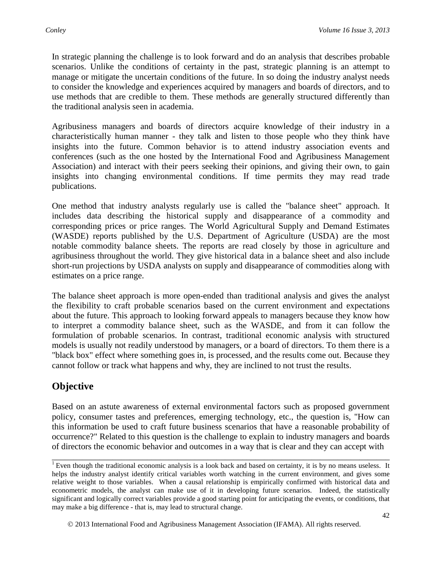In strategic planning the challenge is to look forward and do an analysis that describes probable scenarios. Unlike the conditions of certainty in the past, strategic planning is an attempt to manage or mitigate the uncertain conditions of the future. In so doing the industry analyst needs to consider the knowledge and experiences acquired by managers and boards of directors, and to use methods that are credible to them. These methods are generally structured differently than the traditional analysis seen in academia.

Agribusiness managers and boards of directors acquire knowledge of their industry in a characteristically human manner - they talk and listen to those people who they think have insights into the future. Common behavior is to attend industry association events and conferences (such as the one hosted by the International Food and Agribusiness Management Association) and interact with their peers seeking their opinions, and giving their own, to gain insights into changing environmental conditions. If time permits they may read trade publications.

One method that industry analysts regularly use is called the "balance sheet" approach. It includes data describing the historical supply and disappearance of a commodity and corresponding prices or price ranges. The World Agricultural Supply and Demand Estimates (WASDE) reports published by the U.S. Department of Agriculture (USDA) are the most notable commodity balance sheets. The reports are read closely by those in agriculture and agribusiness throughout the world. They give historical data in a balance sheet and also include short-run projections by USDA analysts on supply and disappearance of commodities along with estimates on a price range.

The balance sheet approach is more open-ended than traditional analysis and gives the analyst the flexibility to craft probable scenarios based on the current environment and expectations about the future. This approach to looking forward appeals to managers because they know how to interpret a commodity balance sheet, such as the WASDE, and from it can follow the formulation of probable scenarios. In contrast, traditional economic analysis with structured models is usually not readily understood by managers, or a board of directors. To them there is a "black box" effect where something goes in, is processed, and the results come out. Because they cannot follow or track what happens and why, they are inclined to not trust the results.

# **Objective**

Based on an astute awareness of external environmental factors such as proposed government policy, consumer tastes and preferences, emerging technology, etc., the question is, "How can this information be used to craft future business scenarios that have a reasonable probability of occurrence?" Related to this question is the challenge to explain to industry managers and boards of directors the economic behavior and outcomes in a way that is clear and they can accept with

\_\_\_\_\_\_\_\_\_\_\_\_\_\_\_\_\_\_\_\_\_\_\_\_\_\_\_\_\_\_\_\_\_\_\_\_\_\_\_\_\_\_\_\_\_\_\_\_\_\_\_\_\_\_\_\_\_\_\_\_\_\_\_\_\_\_\_\_\_\_\_\_\_\_\_\_\_\_ <sup>1</sup> Even though the traditional economic analysis is a look back and based on certainty, it is by no means useless. It helps the industry analyst identify critical variables worth watching in the current environment, and gives some relative weight to those variables. When a causal relationship is empirically confirmed with historical data and econometric models, the analyst can make use of it in developing future scenarios. Indeed, the statistically significant and logically correct variables provide a good starting point for anticipating the events, or conditions, that may make a big difference - that is, may lead to structural change.

2013 International Food and Agribusiness Management Association (IFAMA). All rights reserved.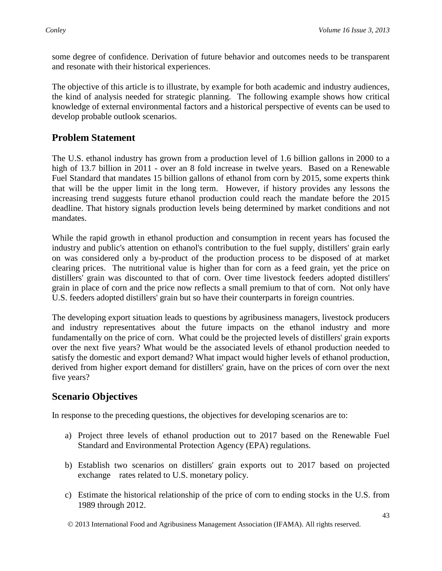some degree of confidence. Derivation of future behavior and outcomes needs to be transparent and resonate with their historical experiences.

The objective of this article is to illustrate, by example for both academic and industry audiences, the kind of analysis needed for strategic planning. The following example shows how critical knowledge of external environmental factors and a historical perspective of events can be used to develop probable outlook scenarios.

### **Problem Statement**

The U.S. ethanol industry has grown from a production level of 1.6 billion gallons in 2000 to a high of 13.7 billion in 2011 - over an 8 fold increase in twelve years. Based on a Renewable Fuel Standard that mandates 15 billion gallons of ethanol from corn by 2015, some experts think that will be the upper limit in the long term. However, if history provides any lessons the increasing trend suggests future ethanol production could reach the mandate before the 2015 deadline. That history signals production levels being determined by market conditions and not mandates.

While the rapid growth in ethanol production and consumption in recent years has focused the industry and public's attention on ethanol's contribution to the fuel supply, distillers' grain early on was considered only a by-product of the production process to be disposed of at market clearing prices. The nutritional value is higher than for corn as a feed grain, yet the price on distillers' grain was discounted to that of corn. Over time livestock feeders adopted distillers' grain in place of corn and the price now reflects a small premium to that of corn. Not only have U.S. feeders adopted distillers' grain but so have their counterparts in foreign countries.

The developing export situation leads to questions by agribusiness managers, livestock producers and industry representatives about the future impacts on the ethanol industry and more fundamentally on the price of corn. What could be the projected levels of distillers' grain exports over the next five years? What would be the associated levels of ethanol production needed to satisfy the domestic and export demand? What impact would higher levels of ethanol production, derived from higher export demand for distillers' grain, have on the prices of corn over the next five years?

### **Scenario Objectives**

In response to the preceding questions, the objectives for developing scenarios are to:

- a) Project three levels of ethanol production out to 2017 based on the Renewable Fuel Standard and Environmental Protection Agency (EPA) regulations.
- b) Establish two scenarios on distillers' grain exports out to 2017 based on projected exchange rates related to U.S. monetary policy.
- c) Estimate the historical relationship of the price of corn to ending stocks in the U.S. from 1989 through 2012.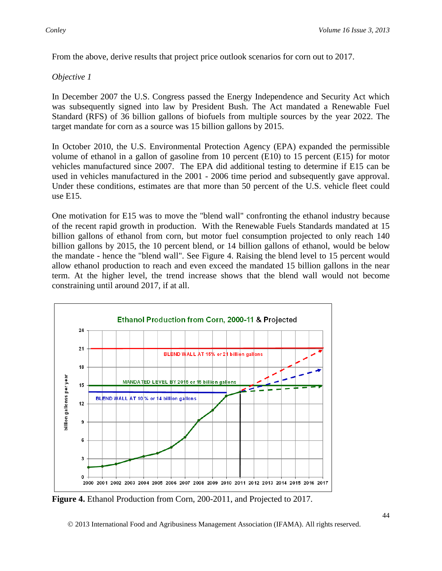From the above, derive results that project price outlook scenarios for corn out to 2017.

#### *Objective 1*

In December 2007 the U.S. Congress passed the Energy Independence and Security Act which was subsequently signed into law by President Bush. The Act mandated a Renewable Fuel Standard (RFS) of 36 billion gallons of biofuels from multiple sources by the year 2022. The target mandate for corn as a source was 15 billion gallons by 2015.

In October 2010, the U.S. Environmental Protection Agency (EPA) expanded the permissible volume of ethanol in a gallon of gasoline from 10 percent (E10) to 15 percent (E15) for motor vehicles manufactured since 2007. The EPA did additional testing to determine if E15 can be used in vehicles manufactured in the 2001 - 2006 time period and subsequently gave approval. Under these conditions, estimates are that more than 50 percent of the U.S. vehicle fleet could use E15.

One motivation for E15 was to move the "blend wall" confronting the ethanol industry because of the recent rapid growth in production. With the Renewable Fuels Standards mandated at 15 billion gallons of ethanol from corn, but motor fuel consumption projected to only reach 140 billion gallons by 2015, the 10 percent blend, or 14 billion gallons of ethanol, would be below the mandate - hence the "blend wall". See Figure 4. Raising the blend level to 15 percent would allow ethanol production to reach and even exceed the mandated 15 billion gallons in the near term. At the higher level, the trend increase shows that the blend wall would not become constraining until around 2017, if at all.



**Figure 4.** Ethanol Production from Corn, 200-2011, and Projected to 2017.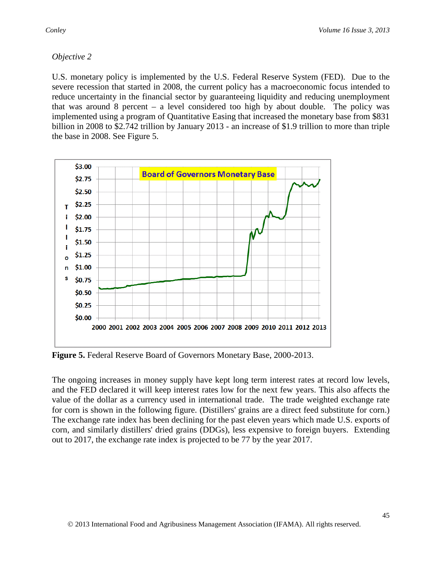#### *Objective 2*

U.S. monetary policy is implemented by the U.S. Federal Reserve System (FED). Due to the severe recession that started in 2008, the current policy has a macroeconomic focus intended to reduce uncertainty in the financial sector by guaranteeing liquidity and reducing unemployment that was around 8 percent – a level considered too high by about double. The policy was implemented using a program of Quantitative Easing that increased the monetary base from \$831 billion in 2008 to \$2.742 trillion by January 2013 - an increase of \$1.9 trillion to more than triple the base in 2008. See Figure 5.



**Figure 5.** Federal Reserve Board of Governors Monetary Base, 2000-2013.

The ongoing increases in money supply have kept long term interest rates at record low levels, and the FED declared it will keep interest rates low for the next few years. This also affects the value of the dollar as a currency used in international trade. The trade weighted exchange rate for corn is shown in the following figure. (Distillers' grains are a direct feed substitute for corn.) The exchange rate index has been declining for the past eleven years which made U.S. exports of corn, and similarly distillers' dried grains (DDGs), less expensive to foreign buyers. Extending out to 2017, the exchange rate index is projected to be 77 by the year 2017.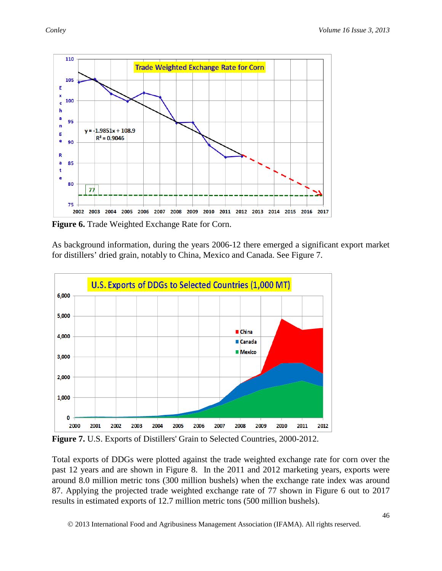

**Figure 6.** Trade Weighted Exchange Rate for Corn.

As background information, during the years 2006-12 there emerged a significant export market for distillers' dried grain, notably to China, Mexico and Canada. See Figure 7.



**Figure 7.** U.S. Exports of Distillers' Grain to Selected Countries, 2000-2012.

Total exports of DDGs were plotted against the trade weighted exchange rate for corn over the past 12 years and are shown in Figure 8. In the 2011 and 2012 marketing years, exports were around 8.0 million metric tons (300 million bushels) when the exchange rate index was around 87. Applying the projected trade weighted exchange rate of 77 shown in Figure 6 out to 2017 results in estimated exports of 12.7 million metric tons (500 million bushels).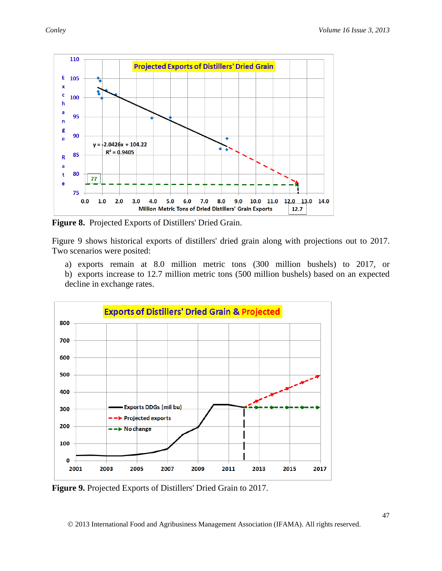

**Figure 8.** Projected Exports of Distillers' Dried Grain.

Figure 9 shows historical exports of distillers' dried grain along with projections out to 2017. Two scenarios were posited:

- a) exports remain at 8.0 million metric tons (300 million bushels) to 2017, or
- b) exports increase to 12.7 million metric tons (500 million bushels) based on an expected decline in exchange rates.



**Figure 9.** Projected Exports of Distillers' Dried Grain to 2017.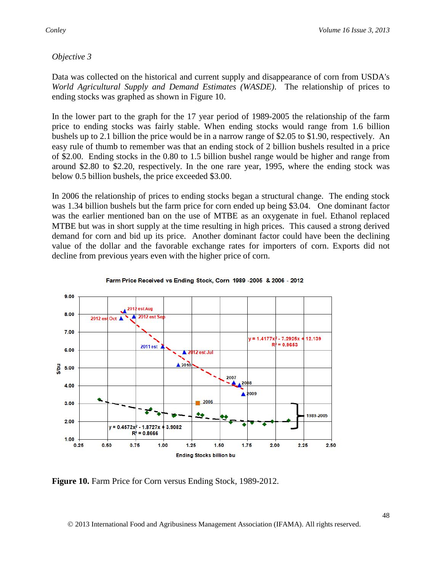#### *Objective 3*

Data was collected on the historical and current supply and disappearance of corn from USDA's *World Agricultural Supply and Demand Estimates (WASDE)*. The relationship of prices to ending stocks was graphed as shown in Figure 10.

In the lower part to the graph for the 17 year period of 1989-2005 the relationship of the farm price to ending stocks was fairly stable. When ending stocks would range from 1.6 billion bushels up to 2.1 billion the price would be in a narrow range of \$2.05 to \$1.90, respectively. An easy rule of thumb to remember was that an ending stock of 2 billion bushels resulted in a price of \$2.00. Ending stocks in the 0.80 to 1.5 billion bushel range would be higher and range from around \$2.80 to \$2.20, respectively. In the one rare year, 1995, where the ending stock was below 0.5 billion bushels, the price exceeded \$3.00.

In 2006 the relationship of prices to ending stocks began a structural change. The ending stock was 1.34 billion bushels but the farm price for corn ended up being \$3.04. One dominant factor was the earlier mentioned ban on the use of MTBE as an oxygenate in fuel. Ethanol replaced MTBE but was in short supply at the time resulting in high prices. This caused a strong derived demand for corn and bid up its price. Another dominant factor could have been the declining value of the dollar and the favorable exchange rates for importers of corn. Exports did not decline from previous years even with the higher price of corn.



Farm Price Received vs Ending Stock, Corn 1989 -2005 & 2006 - 2012

**Figure 10.** Farm Price for Corn versus Ending Stock, 1989-2012.

2013 International Food and Agribusiness Management Association (IFAMA). All rights reserved.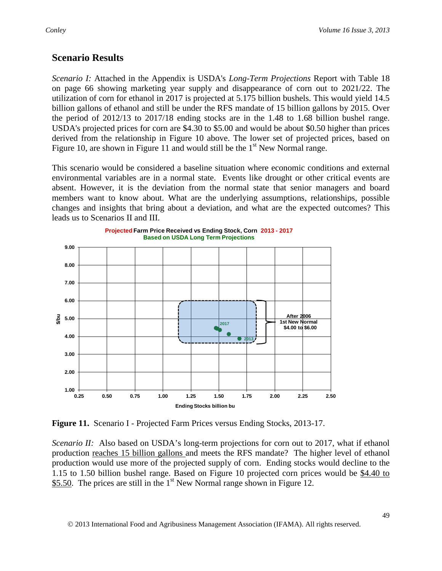# **Scenario Results**

*Scenario I:* Attached in the Appendix is USDA's *Long-Term Projections* Report with Table 18 on page 66 showing marketing year supply and disappearance of corn out to 2021/22. The utilization of corn for ethanol in 2017 is projected at 5.175 billion bushels. This would yield 14.5 billion gallons of ethanol and still be under the RFS mandate of 15 billion gallons by 2015. Over the period of 2012/13 to 2017/18 ending stocks are in the 1.48 to 1.68 billion bushel range. USDA's projected prices for corn are \$4.30 to \$5.00 and would be about \$0.50 higher than prices derived from the relationship in Figure 10 above. The lower set of projected prices, based on Figure 10, are shown in Figure 11 and would still be the  $1<sup>st</sup>$  New Normal range.

This scenario would be considered a baseline situation where economic conditions and external environmental variables are in a normal state. Events like drought or other critical events are absent. However, it is the deviation from the normal state that senior managers and board members want to know about. What are the underlying assumptions, relationships, possible changes and insights that bring about a deviation, and what are the expected outcomes? This leads us to Scenarios II and III.



**Figure 11.** Scenario I - Projected Farm Prices versus Ending Stocks, 2013-17.

*Scenario II:* Also based on USDA's long-term projections for corn out to 2017, what if ethanol production reaches 15 billion gallons and meets the RFS mandate? The higher level of ethanol production would use more of the projected supply of corn. Ending stocks would decline to the 1.15 to 1.50 billion bushel range. Based on Figure 10 projected corn prices would be \$4.40 to \$5.50. The prices are still in the  $1<sup>st</sup>$  New Normal range shown in Figure 12.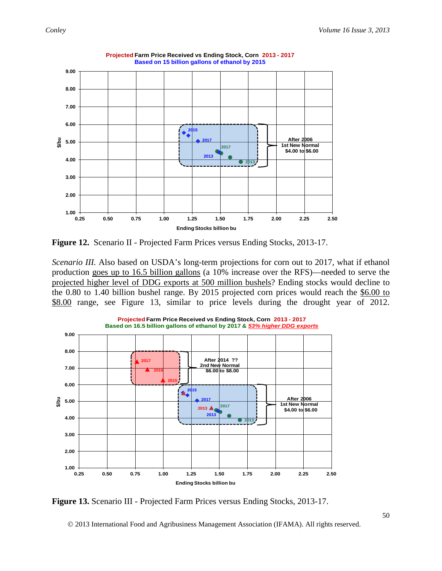

**Projected Farm Price Received vs Ending Stock, Corn 2013 - 2017 Based on 15 billion gallons of ethanol by 2015**



*Scenario III.* Also based on USDA's long-term projections for corn out to 2017, what if ethanol production goes up to 16.5 billion gallons (a 10% increase over the RFS)—needed to serve the projected higher level of DDG exports at 500 million bushels? Ending stocks would decline to the 0.80 to 1.40 billion bushel range. By 2015 projected corn prices would reach the \$6.00 to \$8.00 range, see Figure 13, similar to price levels during the drought year of 2012.



**Projected Farm Price Received vs Ending Stock, Corn 2013 - 2017**

**Figure 13.** Scenario III - Projected Farm Prices versus Ending Stocks, 2013-17.

2013 International Food and Agribusiness Management Association (IFAMA). All rights reserved.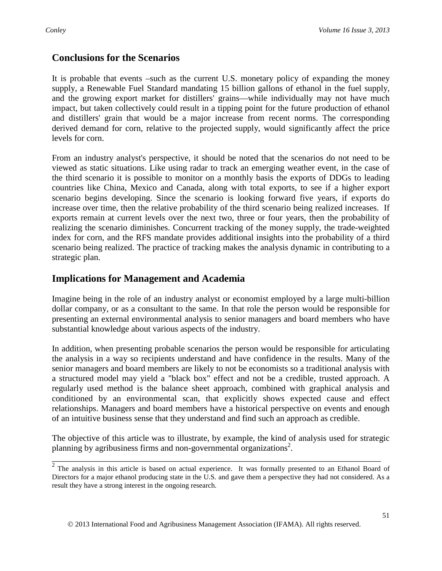## **Conclusions for the Scenarios**

It is probable that events –such as the current U.S. monetary policy of expanding the money supply, a Renewable Fuel Standard mandating 15 billion gallons of ethanol in the fuel supply, and the growing export market for distillers' grains—while individually may not have much impact, but taken collectively could result in a tipping point for the future production of ethanol and distillers' grain that would be a major increase from recent norms. The corresponding derived demand for corn, relative to the projected supply, would significantly affect the price levels for corn.

From an industry analyst's perspective, it should be noted that the scenarios do not need to be viewed as static situations. Like using radar to track an emerging weather event, in the case of the third scenario it is possible to monitor on a monthly basis the exports of DDGs to leading countries like China, Mexico and Canada, along with total exports, to see if a higher export scenario begins developing. Since the scenario is looking forward five years, if exports do increase over time, then the relative probability of the third scenario being realized increases. If exports remain at current levels over the next two, three or four years, then the probability of realizing the scenario diminishes. Concurrent tracking of the money supply, the trade-weighted index for corn, and the RFS mandate provides additional insights into the probability of a third scenario being realized. The practice of tracking makes the analysis dynamic in contributing to a strategic plan.

## **Implications for Management and Academia**

Imagine being in the role of an industry analyst or economist employed by a large multi-billion dollar company, or as a consultant to the same. In that role the person would be responsible for presenting an external environmental analysis to senior managers and board members who have substantial knowledge about various aspects of the industry.

In addition, when presenting probable scenarios the person would be responsible for articulating the analysis in a way so recipients understand and have confidence in the results. Many of the senior managers and board members are likely to not be economists so a traditional analysis with a structured model may yield a "black box" effect and not be a credible, trusted approach. A regularly used method is the balance sheet approach, combined with graphical analysis and conditioned by an environmental scan, that explicitly shows expected cause and effect relationships. Managers and board members have a historical perspective on events and enough of an intuitive business sense that they understand and find such an approach as credible.

The objective of this article was to illustrate, by example, the kind of analysis used for strategic planning by agribusiness firms and non-governmental organizations<sup>2</sup>.

 $\overline{2}$  The analysis in this article is based on actual experience. It was formally presented to an Ethanol Board of Directors for a major ethanol producing state in the U.S. and gave them a perspective they had not considered. As a result they have a strong interest in the ongoing research.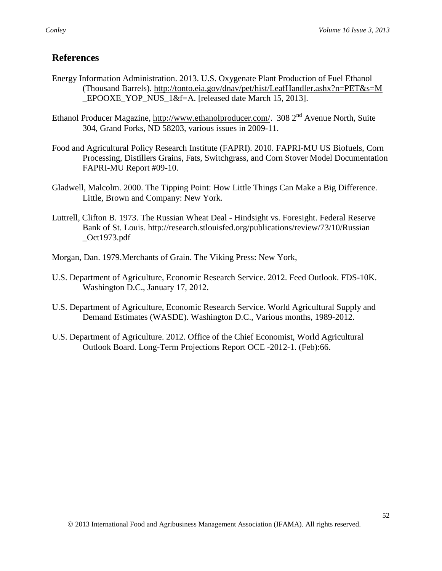## **References**

- Energy Information Administration. 2013. U.S. Oxygenate Plant Production of Fuel Ethanol (Thousand Barrels). [http://tonto.eia.gov/dnav/pet/hist/LeafHandler.ashx?n=PET&s=M](http://tonto.eia.gov/dnav/pet/hist/LeafHandler.ashx?n=PET&s=M_EPOOXE_YOP_NUS_1&f=A) \_EPOOXE\_YOP\_NUS\_1&f=A. [released date March 15, 2013].
- Ethanol Producer Magazine, [http://www.ethanolproducer.com/.](http://www.ethanolproducer.com/) 308 2<sup>nd</sup> Avenue North, Suite 304, Grand Forks, ND 58203, various issues in 2009-11.
- Food and Agricultural Policy Research Institute (FAPRI). 2010. [FAPRI-MU US Biofuels, Corn](http://www.fapri.missouri.edu/outreach/publications/2010/FAPRI_MU_Report_09_10.pdf)  [Processing, Distillers Grains, Fats, Switchgrass, and Corn Stover Model Documentation](http://www.fapri.missouri.edu/outreach/publications/2010/FAPRI_MU_Report_09_10.pdf)  FAPRI-MU Report #09-10.
- Gladwell, Malcolm. 2000. The Tipping Point: How Little Things Can Make a Big Difference. Little, Brown and Company: New York.
- Luttrell, Clifton B. 1973. The Russian Wheat Deal Hindsight vs. Foresight. Federal Reserve Bank of St. Louis. http://research.stlouisfed.org/publications/review/73/10/Russian  $_$ Oct1973.pdf
- Morgan, Dan. 1979.Merchants of Grain. The Viking Press: New York,
- U.S. Department of Agriculture, Economic Research Service. 2012. Feed Outlook. FDS-10K. Washington D.C., January 17, 2012.
- U.S. Department of Agriculture, Economic Research Service. World Agricultural Supply and Demand Estimates (WASDE). Washington D.C., Various months, 1989-2012.
- U.S. Department of Agriculture. 2012. Office of the Chief Economist, World Agricultural Outlook Board. Long-Term Projections Report OCE -2012-1. (Feb):66.